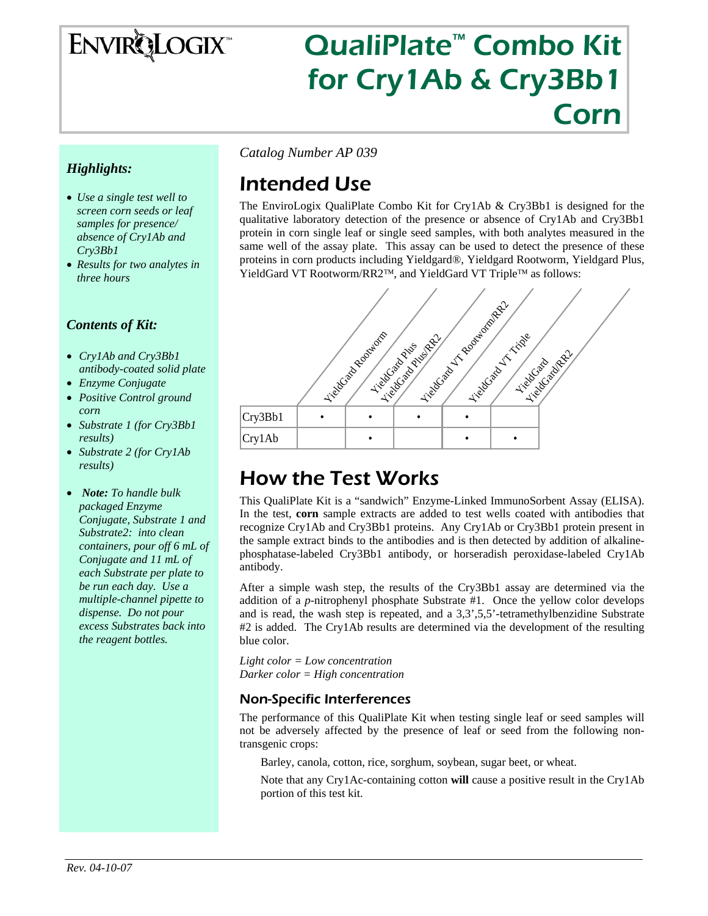# **ENVIRQLOGIX**

# QualiPlate™ Combo Kit for Cry1Ab & Cry3Bb1 Corn

### *Highlights:*

- *Use a single test well to screen corn seeds or leaf samples for presence/ absence of Cry1Ab and Cry3Bb1*
- *Results for two analytes in three hours*

### *Contents of Kit:*

- *Cry1Ab and Cry3Bb1 antibody-coated solid plate*
- *Enzyme Conjugate*
- *Positive Control ground corn*
- *Substrate 1 (for Cry3Bb1 results)*
- *Substrate 2 (for Cry1Ab results)*
- *Note: To handle bulk packaged Enzyme Conjugate, Substrate 1 and Substrate2: into clean containers, pour off 6 mL of Conjugate and 11 mL of each Substrate per plate to be run each day. Use a multiple-channel pipette to dispense. Do not pour excess Substrates back into the reagent bottles.*

*Catalog Number AP 039* 

# Intended Use

The EnviroLogix QualiPlate Combo Kit for Cry1Ab & Cry3Bb1 is designed for the qualitative laboratory detection of the presence or absence of Cry1Ab and Cry3Bb1 protein in corn single leaf or single seed samples, with both analytes measured in the same well of the assay plate. This assay can be used to detect the presence of these proteins in corn products including Yieldgard®, Yieldgard Rootworm, Yieldgard Plus, YieldGard VT Rootworm/RR2™, and YieldGard VT Triple™ as follows:



# How the Test Works

This QualiPlate Kit is a "sandwich" Enzyme-Linked ImmunoSorbent Assay (ELISA). In the test, **corn** sample extracts are added to test wells coated with antibodies that recognize Cry1Ab and Cry3Bb1 proteins. Any Cry1Ab or Cry3Bb1 protein present in the sample extract binds to the antibodies and is then detected by addition of alkalinephosphatase-labeled Cry3Bb1 antibody, or horseradish peroxidase-labeled Cry1Ab antibody.

After a simple wash step, the results of the Cry3Bb1 assay are determined via the addition of a *p*-nitrophenyl phosphate Substrate #1. Once the yellow color develops and is read, the wash step is repeated, and a 3,3',5,5'-tetramethylbenzidine Substrate #2 is added. The Cry1Ab results are determined via the development of the resulting blue color.

*Light color = Low concentration Darker color = High concentration* 

### Non-Specific Interferences

The performance of this QualiPlate Kit when testing single leaf or seed samples will not be adversely affected by the presence of leaf or seed from the following nontransgenic crops:

Barley, canola, cotton, rice, sorghum, soybean, sugar beet, or wheat.

Note that any Cry1Ac-containing cotton **will** cause a positive result in the Cry1Ab portion of this test kit.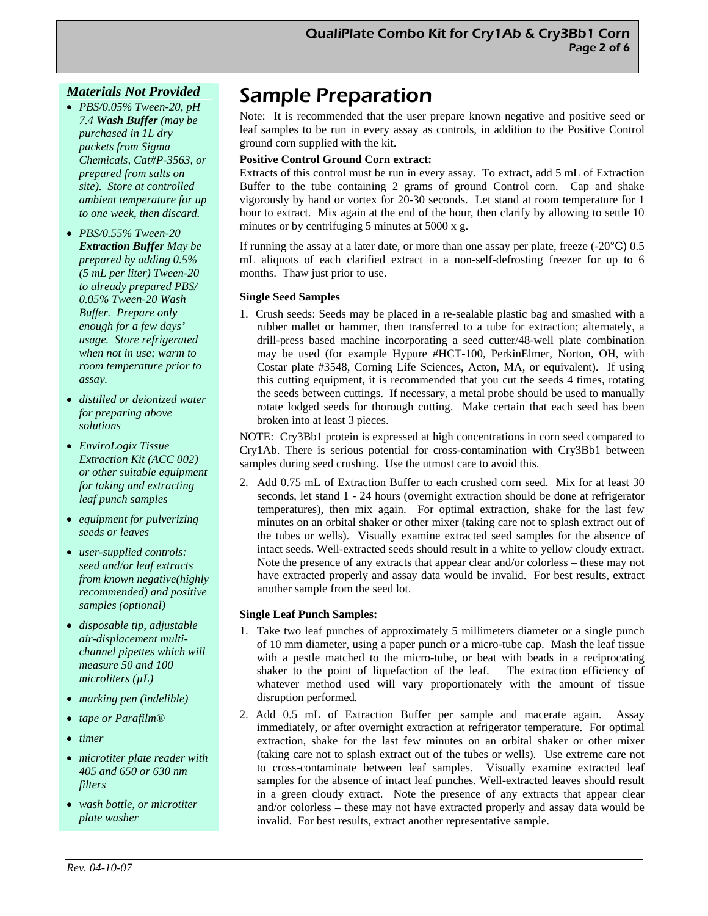#### *Materials Not Provided*

- *PBS/0.05% Tween-20, pH 7.4 Wash Buffer (may be purchased in 1L dry packets from Sigma Chemicals, Cat#P-3563, or prepared from salts on site). Store at controlled ambient temperature for up to one week, then discard.*
- *PBS/0.55% Tween-20 Extraction Buffer May be prepared by adding 0.5% (5 mL per liter) Tween-20 to already prepared PBS/ 0.05% Tween-20 Wash Buffer. Prepare only enough for a few days' usage. Store refrigerated when not in use; warm to room temperature prior to assay.*
- *distilled or deionized water for preparing above solutions*
- *EnviroLogix Tissue Extraction Kit (ACC 002) or other suitable equipment for taking and extracting leaf punch samples*
- *equipment for pulverizing seeds or leaves*
- *user-supplied controls: seed and/or leaf extracts from known negative(highly recommended) and positive samples (optional)*
- *disposable tip, adjustable air-displacement multichannel pipettes which will measure 50 and 100 microliters (µL)*
- *marking pen (indelible)*
- *tape or Parafilm®*
- *timer*
- *microtiter plate reader with 405 and 650 or 630 nm filters*
- *wash bottle, or microtiter plate washer*

# Sample Preparation

Note: It is recommended that the user prepare known negative and positive seed or leaf samples to be run in every assay as controls, in addition to the Positive Control ground corn supplied with the kit.

#### **Positive Control Ground Corn extract:**

Extracts of this control must be run in every assay. To extract, add 5 mL of Extraction Buffer to the tube containing 2 grams of ground Control corn. Cap and shake vigorously by hand or vortex for 20-30 seconds. Let stand at room temperature for 1 hour to extract. Mix again at the end of the hour, then clarify by allowing to settle 10 minutes or by centrifuging 5 minutes at 5000 x g.

If running the assay at a later date, or more than one assay per plate, freeze  $(-20^{\circ}C)$  0.5 mL aliquots of each clarified extract in a non-self-defrosting freezer for up to 6 months. Thaw just prior to use.

#### **Single Seed Samples**

1. Crush seeds: Seeds may be placed in a re-sealable plastic bag and smashed with a rubber mallet or hammer, then transferred to a tube for extraction; alternately, a drill-press based machine incorporating a seed cutter/48-well plate combination may be used (for example Hypure #HCT-100, PerkinElmer, Norton, OH, with Costar plate #3548, Corning Life Sciences, Acton, MA, or equivalent). If using this cutting equipment, it is recommended that you cut the seeds 4 times, rotating the seeds between cuttings. If necessary, a metal probe should be used to manually rotate lodged seeds for thorough cutting. Make certain that each seed has been broken into at least 3 pieces.

NOTE: Cry3Bb1 protein is expressed at high concentrations in corn seed compared to Cry1Ab. There is serious potential for cross-contamination with Cry3Bb1 between samples during seed crushing. Use the utmost care to avoid this.

2. Add 0.75 mL of Extraction Buffer to each crushed corn seed. Mix for at least 30 seconds, let stand 1 - 24 hours (overnight extraction should be done at refrigerator temperatures), then mix again. For optimal extraction, shake for the last few minutes on an orbital shaker or other mixer (taking care not to splash extract out of the tubes or wells). Visually examine extracted seed samples for the absence of intact seeds. Well-extracted seeds should result in a white to yellow cloudy extract. Note the presence of any extracts that appear clear and/or colorless – these may not have extracted properly and assay data would be invalid. For best results, extract another sample from the seed lot.

#### **Single Leaf Punch Samples:**

- 1. Take two leaf punches of approximately 5 millimeters diameter or a single punch of 10 mm diameter, using a paper punch or a micro-tube cap. Mash the leaf tissue with a pestle matched to the micro-tube, or beat with beads in a reciprocating shaker to the point of liquefaction of the leaf. The extraction efficiency of whatever method used will vary proportionately with the amount of tissue disruption performed*.*
- 2. Add 0.5 mL of Extraction Buffer per sample and macerate again. Assay immediately, or after overnight extraction at refrigerator temperature. For optimal extraction, shake for the last few minutes on an orbital shaker or other mixer (taking care not to splash extract out of the tubes or wells). Use extreme care not to cross-contaminate between leaf samples. Visually examine extracted leaf samples for the absence of intact leaf punches. Well-extracted leaves should result in a green cloudy extract. Note the presence of any extracts that appear clear and/or colorless – these may not have extracted properly and assay data would be invalid. For best results, extract another representative sample.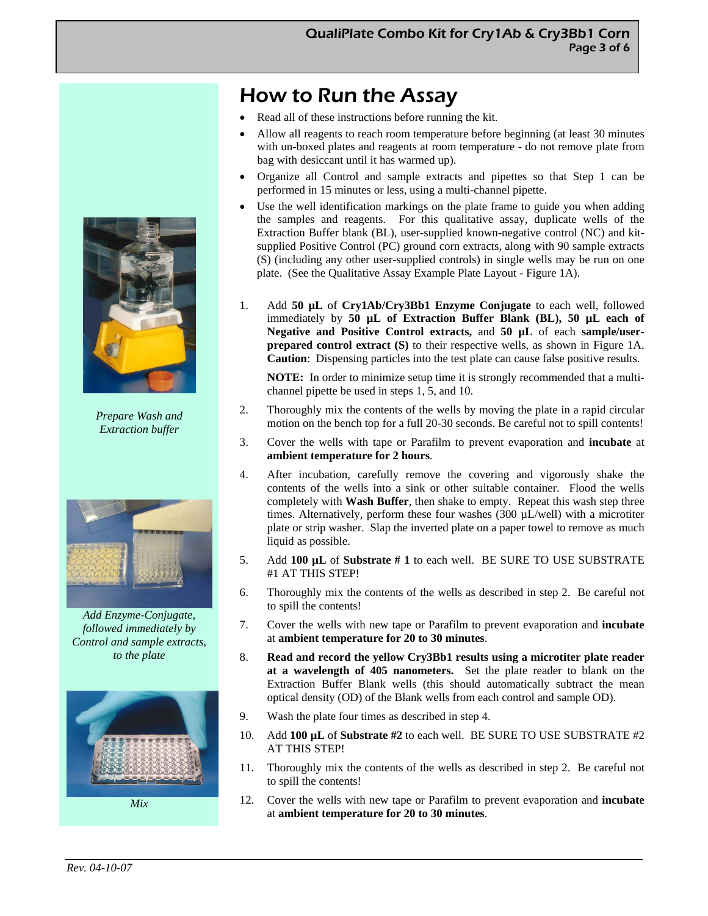# How to Run the Assay

- Read all of these instructions before running the kit.
- Allow all reagents to reach room temperature before beginning (at least 30 minutes with un-boxed plates and reagents at room temperature - do not remove plate from bag with desiccant until it has warmed up).
- Organize all Control and sample extracts and pipettes so that Step 1 can be performed in 15 minutes or less, using a multi-channel pipette.
- Use the well identification markings on the plate frame to guide you when adding the samples and reagents. For this qualitative assay, duplicate wells of the Extraction Buffer blank (BL), user-supplied known-negative control (NC) and kitsupplied Positive Control (PC) ground corn extracts, along with 90 sample extracts (S) (including any other user-supplied controls) in single wells may be run on one plate. (See the Qualitative Assay Example Plate Layout - Figure 1A).
- 1. Add **50 µL** of **Cry1Ab/Cry3Bb1 Enzyme Conjugate** to each well, followed immediately by **50 µL of Extraction Buffer Blank (BL), 50 µL each of Negative and Positive Control extracts,** and **50 µL** of each **sample/userprepared control extract (S)** to their respective wells, as shown in Figure 1A. **Caution**: Dispensing particles into the test plate can cause false positive results.

**NOTE:** In order to minimize setup time it is strongly recommended that a multichannel pipette be used in steps 1, 5, and 10.

- 2. Thoroughly mix the contents of the wells by moving the plate in a rapid circular motion on the bench top for a full 20-30 seconds. Be careful not to spill contents!
- 3. Cover the wells with tape or Parafilm to prevent evaporation and **incubate** at **ambient temperature for 2 hours**.
- 4. After incubation, carefully remove the covering and vigorously shake the contents of the wells into a sink or other suitable container. Flood the wells completely with **Wash Buffer**, then shake to empty. Repeat this wash step three times. Alternatively, perform these four washes (300 µL/well) with a microtiter plate or strip washer. Slap the inverted plate on a paper towel to remove as much liquid as possible.
- 5. Add **100 µL** of **Substrate # 1** to each well. BE SURE TO USE SUBSTRATE #1 AT THIS STEP!
- 6. Thoroughly mix the contents of the wells as described in step 2. Be careful not to spill the contents!
- 7. Cover the wells with new tape or Parafilm to prevent evaporation and **incubate**  at **ambient temperature for 20 to 30 minutes**.
- 8. **Read and record the yellow Cry3Bb1 results using a microtiter plate reader at a wavelength of 405 nanometers.** Set the plate reader to blank on the Extraction Buffer Blank wells (this should automatically subtract the mean optical density (OD) of the Blank wells from each control and sample OD).
- 9. Wash the plate four times as described in step 4.
- 10. Add **100 µL** of **Substrate #2** to each well. BE SURE TO USE SUBSTRATE #2 AT THIS STEP!
- 11. Thoroughly mix the contents of the wells as described in step 2. Be careful not to spill the contents!
- 12. Cover the wells with new tape or Parafilm to prevent evaporation and **incubate**  at **ambient temperature for 20 to 30 minutes**.



*Prepare Wash and Extraction buffer*



*Add Enzyme-Conjugate, followed immediately by Control and sample extracts, to the plate* 

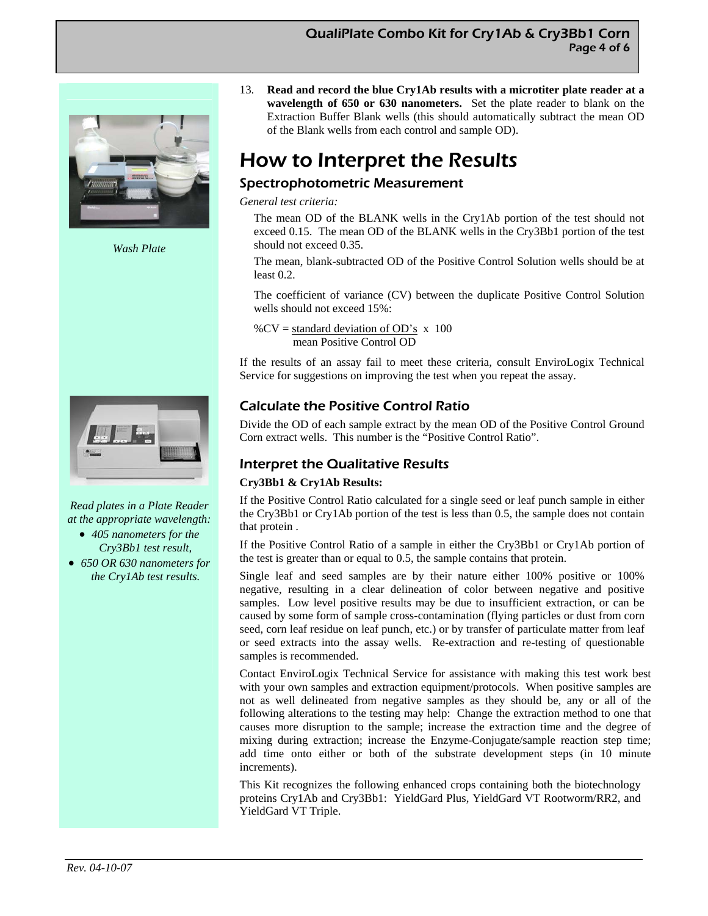

*Wash Plate* 



*Read plates in a Plate Reader at the appropriate wavelength:* 

- *405 nanometers for the Cry3Bb1 test result,*
- *650 OR 630 nanometers for the Cry1Ab test results.*

13. **Read and record the blue Cry1Ab results with a microtiter plate reader at a wavelength of 650 or 630 nanometers.** Set the plate reader to blank on the Extraction Buffer Blank wells (this should automatically subtract the mean OD of the Blank wells from each control and sample OD).

# How to Interpret the Results

### Spectrophotometric Measurement

*General test criteria:* 

The mean OD of the BLANK wells in the Cry1Ab portion of the test should not exceed 0.15. The mean OD of the BLANK wells in the Cry3Bb1 portion of the test should not exceed 0.35.

The mean, blank-subtracted OD of the Positive Control Solution wells should be at least 0.2.

The coefficient of variance (CV) between the duplicate Positive Control Solution wells should not exceed 15%:

% $CV = standard deviation of OD's x 100$ mean Positive Control OD

If the results of an assay fail to meet these criteria, consult EnviroLogix Technical Service for suggestions on improving the test when you repeat the assay.

## Calculate the Positive Control Ratio

Divide the OD of each sample extract by the mean OD of the Positive Control Ground Corn extract wells. This number is the "Positive Control Ratio".

## Interpret the Qualitative Results

#### **Cry3Bb1 & Cry1Ab Results:**

If the Positive Control Ratio calculated for a single seed or leaf punch sample in either the Cry3Bb1 or Cry1Ab portion of the test is less than 0.5, the sample does not contain that protein .

If the Positive Control Ratio of a sample in either the Cry3Bb1 or Cry1Ab portion of the test is greater than or equal to 0.5, the sample contains that protein.

Single leaf and seed samples are by their nature either 100% positive or 100% negative, resulting in a clear delineation of color between negative and positive samples. Low level positive results may be due to insufficient extraction, or can be caused by some form of sample cross-contamination (flying particles or dust from corn seed, corn leaf residue on leaf punch, etc.) or by transfer of particulate matter from leaf or seed extracts into the assay wells. Re-extraction and re-testing of questionable samples is recommended.

Contact EnviroLogix Technical Service for assistance with making this test work best with your own samples and extraction equipment/protocols. When positive samples are not as well delineated from negative samples as they should be, any or all of the following alterations to the testing may help: Change the extraction method to one that causes more disruption to the sample; increase the extraction time and the degree of mixing during extraction; increase the Enzyme-Conjugate/sample reaction step time; add time onto either or both of the substrate development steps (in 10 minute increments).

This Kit recognizes the following enhanced crops containing both the biotechnology proteins Cry1Ab and Cry3Bb1: YieldGard Plus, YieldGard VT Rootworm/RR2, and YieldGard VT Triple.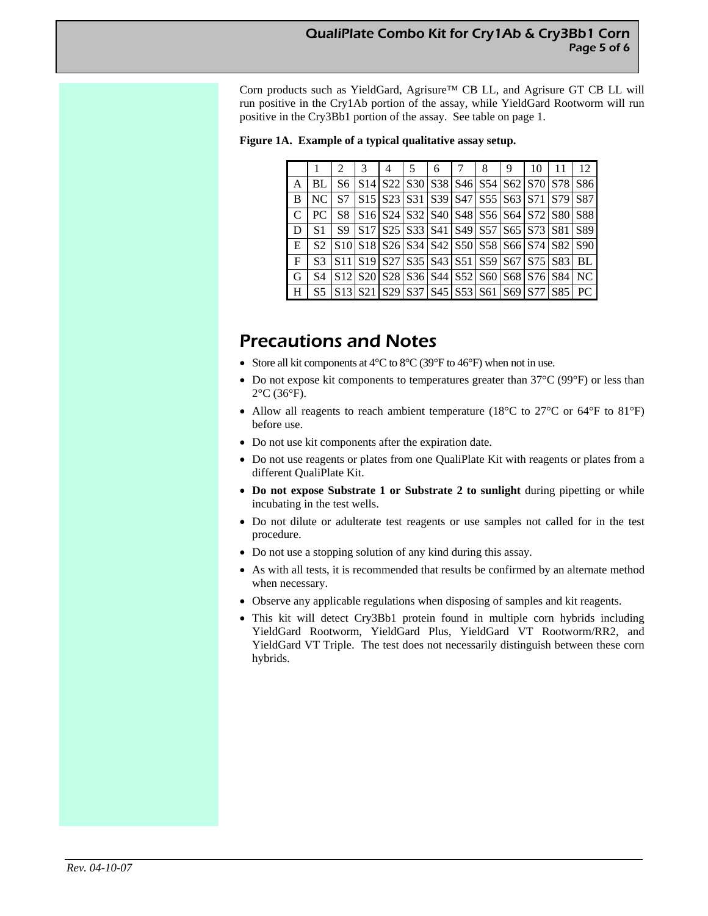Corn products such as YieldGard, Agrisure™ CB LL, and Agrisure GT CB LL will run positive in the Cry1Ab portion of the assay, while YieldGard Rootworm will run positive in the Cry3Bb1 portion of the assay. See table on page 1.

**Figure 1A. Example of a typical qualitative assay setup.**

|   |     | 2         | 3               | 4 | 5                                                                                                                                               | 6 | 8 | 9 | 10 | 11  | 12         |
|---|-----|-----------|-----------------|---|-------------------------------------------------------------------------------------------------------------------------------------------------|---|---|---|----|-----|------------|
| Α | BL  | S6        | S <sub>14</sub> |   | S22   S30   S38   S46   S54   S62   S70                                                                                                         |   |   |   |    | S78 | S86        |
| B | NC. | S7        |                 |   | S <sub>15</sub> S <sub>23</sub> S <sub>31</sub> S <sub>39</sub> S <sub>47</sub> S <sub>55</sub> S <sub>63</sub> S <sub>71</sub>                 |   |   |   |    | S79 | S87        |
| C | PC. | S8        |                 |   | S <sub>16</sub> S <sub>24</sub> S <sub>32</sub> S <sub>40</sub> S <sub>48</sub> S <sub>56</sub> S <sub>64</sub> S <sub>72</sub> S <sub>80</sub> |   |   |   |    |     | <b>S88</b> |
| D | S1  | <b>S9</b> |                 |   | S <sub>17</sub> S <sub>25</sub> S <sub>33</sub> S <sub>41</sub> S <sub>49</sub> S <sub>57</sub> S <sub>65</sub> S <sub>73</sub> S <sub>81</sub> |   |   |   |    |     | S89        |
| E | S2  |           |                 |   | S10 S18 S26 S34 S42 S50 S58 S66 S74 S82                                                                                                         |   |   |   |    |     | S90        |
| F | S3  |           |                 |   | S11 S19 S27 S35 S43 S51 S59 S67 S75 S83                                                                                                         |   |   |   |    |     | <b>BL</b>  |
| G | S4  |           |                 |   | S12 S20 S28 S36 S44 S52 S60 S68 S76 S84                                                                                                         |   |   |   |    |     | NC         |
| Н | S5  |           |                 |   | $ S13 S21 S29 S37 S45 S53 S61 S69 S77 S85$                                                                                                      |   |   |   |    |     | PC         |

# Precautions and Notes

- Store all kit components at  $4^{\circ}$ C to  $8^{\circ}$ C (39 $^{\circ}$ F to  $46^{\circ}$ F) when not in use.
- Do not expose kit components to temperatures greater than 37°C (99°F) or less than  $2^{\circ}$ C (36 $^{\circ}$ F).
- Allow all reagents to reach ambient temperature (18°C to 27°C or 64°F to 81°F) before use.
- Do not use kit components after the expiration date.
- Do not use reagents or plates from one QualiPlate Kit with reagents or plates from a different QualiPlate Kit.
- **Do not expose Substrate 1 or Substrate 2 to sunlight** during pipetting or while incubating in the test wells.
- Do not dilute or adulterate test reagents or use samples not called for in the test procedure.
- Do not use a stopping solution of any kind during this assay.
- As with all tests, it is recommended that results be confirmed by an alternate method when necessary.
- Observe any applicable regulations when disposing of samples and kit reagents.
- This kit will detect Cry3Bb1 protein found in multiple corn hybrids including YieldGard Rootworm, YieldGard Plus, YieldGard VT Rootworm/RR2, and YieldGard VT Triple. The test does not necessarily distinguish between these corn hybrids.